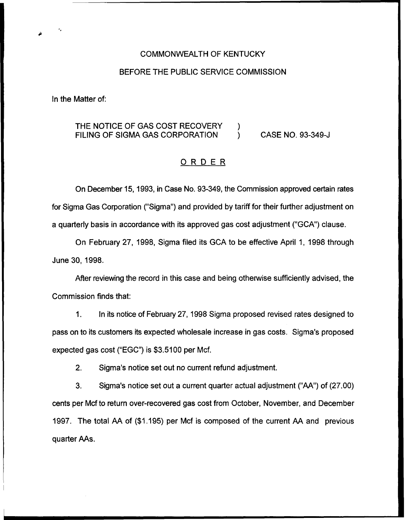#### COMMONWEALTH OF KENTUCKY

#### BEFORE THE PUBLIC SERVICE COMMISSION

In the Matter of:

## THE NOTICE OF GAS COST RECOVERY  $\qquad$ )<br>FILING OF SIGMA GAS CORPORATION  $\qquad$ FILING OF SIGMA GAS CORPORATION ) CASE NO. 93-349-J

### ORDER

On December 15, 1993, in Case No. 93-349, the Commission approved certain rates for Sigma Gas Corporation ("Sigma") and provided by tariff for their further adjustment on a quarterly basis in accordance with its approved gas cost adjustment ("GCA") clause.

On February 27, 1998, Sigma filed its GCA to be effective April 1, 1998 through June 30, 1998.

After reviewing the record in this case and being othenvise sufficiently advised, the Commission finds that:

 $1<sub>1</sub>$ In its notice of February 27, 1998 Sigma proposed revised rates designed to pass on to its customers its expected wholesale increase in gas costs. Sigma's proposed expected gas cost ("EGC") is \$3.5100 per Mcf.

2. Sigma's notice set out no current refund adjustment.

3. Sigma's notice set. out a current quarter actual adjustment ("AA") of (27.00) cents per Mcf to return over-recovered gas cost from October, November, and December 1997. The total AA of (\$1.195) per Mcf is composed of the current AA and previous quarter AAs.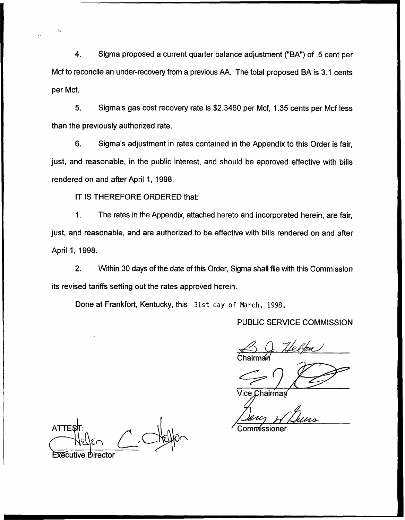4. Sigma proposed a current quarter balance adjustment ("BA") of .5 cent per Mcf to reconcile an under-recovery from a previous AA. The total proposed BA is 3.1 cents per Mcf.

5. Sigma's gas cost recovery rate is \$2.3460 per Mcf, 1.35cents per Mcf less than the previously authorized rate.

6. Sigma's adjustment in rates contained in the Appendix to this Order is fair, just, and reasonable, in the public interest, and should be approved effective with bills rendered on and after April 1, 1998.

IT IS THEREFORE ORDERED that:

1. The rates in the Appendix, attached hereto and incorporated herein, are fair, just, and reasonable, and are authorized to be effective with bills rendered on and after April 1, 1998.

2. Within 30 days of the date of this Order, Sigma shall file with this Commission its revised tariffs setting out the rates approved herein.

Done at Frankfort, Kentucky, this 31st day of March, 1998.

### PUBLIC SERVICE COMMISSION

B G. Helfen Chairmai

**lice Chairman** 

**ATTE** 

ommissioner

**Executive Director**